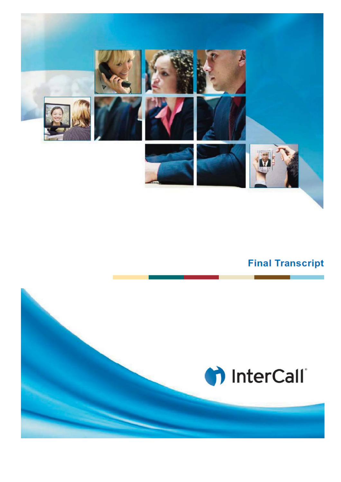

## **Final Transcript**

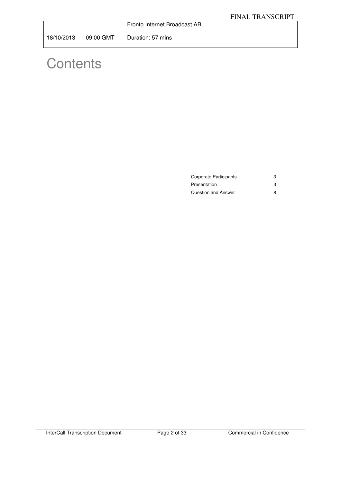|                        | Fronto Internet Broadcast AB |
|------------------------|------------------------------|
| 18/10/2013   09:00 GMT | Duration: 57 mins            |

# **Contents**

| Corporate Participants | 3 |
|------------------------|---|
| Presentation           |   |
| Question and Answer    |   |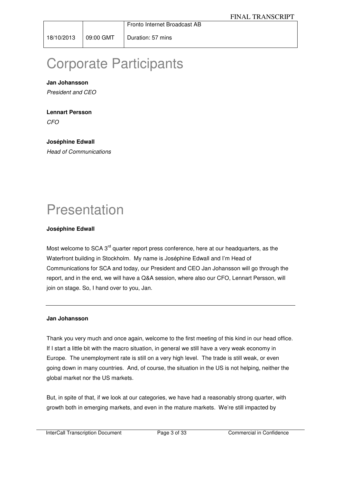Fronto Internet Broadcast AB

## Corporate Participants

## **Jan Johansson**

President and CEO

## **Lennart Persson**

CFO

## **Joséphine Edwall**

Head of Communications

## Presentation

## **Joséphine Edwall**

Most welcome to SCA 3<sup>rd</sup> quarter report press conference, here at our headquarters, as the Waterfront building in Stockholm. My name is Joséphine Edwall and I'm Head of Communications for SCA and today, our President and CEO Jan Johansson will go through the report, and in the end, we will have a Q&A session, where also our CFO, Lennart Persson, will join on stage. So, I hand over to you, Jan.

#### **Jan Johansson**

Thank you very much and once again, welcome to the first meeting of this kind in our head office. If I start a little bit with the macro situation, in general we still have a very weak economy in Europe. The unemployment rate is still on a very high level. The trade is still weak, or even going down in many countries. And, of course, the situation in the US is not helping, neither the global market nor the US markets.

But, in spite of that, if we look at our categories, we have had a reasonably strong quarter, with growth both in emerging markets, and even in the mature markets. We're still impacted by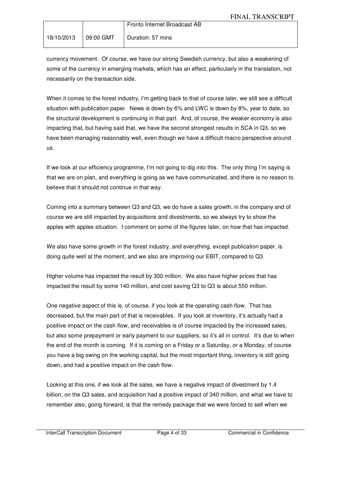|            |           | Fronto Internet Broadcast AB |
|------------|-----------|------------------------------|
| 18/10/2013 | 09:00 GMT | Duration: 57 mins            |

currency movement. Of course, we have our strong Swedish currency, but also a weakening of some of the currency in emerging markets, which has an effect, particularly in the translation, not necessarily on the transaction side.

When it comes to the forest industry, I'm getting back to that of course later, we still see a difficult situation with publication paper. News is down by 6% and LWC is down by 8%, year to date, so the structural development is continuing in that part. And, of course, the weaker economy is also impacting that, but having said that, we have the second strongest results in SCA in Q3, so we have been managing reasonably well, even though we have a difficult macro perspective around us.

If we look at our efficiency programme, I'm not going to dig into this. The only thing I'm saying is that we are on plan, and everything is going as we have communicated, and there is no reason to believe that it should not continue in that way.

Coming into a summary between Q3 and Q3, we do have a sales growth, in the company and of course we are still impacted by acquisitions and divestments, so we always try to show the apples with apples situation. I comment on some of the figures later, on how that has impacted.

We also have some growth in the forest industry, and everything, except publication paper, is doing quite well at the moment, and we also are improving our EBIT, compared to Q3.

Higher volume has impacted the result by 300 million. We also have higher prices that has impacted the result by some 140 million, and cost saving Q3 to Q3 is about 550 million.

One negative aspect of this is, of course, if you look at the operating cash flow. That has decreased, but the main part of that is receivables. If you look at inventory, it's actually had a positive impact on the cash flow, and receivables is of course impacted by the increased sales, but also some prepayment or early payment to our suppliers, so it's all in control. It's due to when the end of the month is coming. If it is coming on a Friday or a Saturday, or a Monday, of course you have a big swing on the working capital, but the most important thing, inventory is still going down, and had a positive impact on the cash flow.

Looking at this one, if we look at the sales, we have a negative impact of divestment by 1.4 billion, on the Q3 sales, and acquisition had a positive impact of 340 million, and what we have to remember also, going forward, is that the remedy package that we were forced to sell when we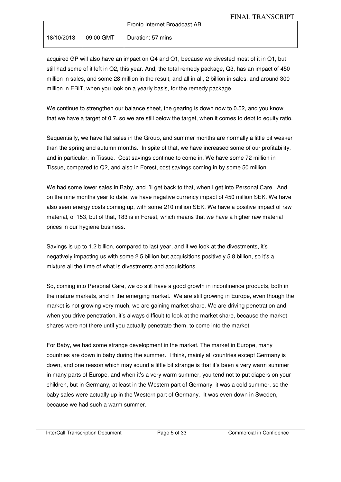|            |           | Fronto Internet Broadcast AB |
|------------|-----------|------------------------------|
| 18/10/2013 | 09:00 GMT | Duration: 57 mins            |

acquired GP will also have an impact on Q4 and Q1, because we divested most of it in Q1, but still had some of it left in Q2, this year. And, the total remedy package, Q3, has an impact of 450 million in sales, and some 28 million in the result, and all in all, 2 billion in sales, and around 300 million in EBIT, when you look on a yearly basis, for the remedy package.

We continue to strengthen our balance sheet, the gearing is down now to 0.52, and you know that we have a target of 0.7, so we are still below the target, when it comes to debt to equity ratio.

Sequentially, we have flat sales in the Group, and summer months are normally a little bit weaker than the spring and autumn months. In spite of that, we have increased some of our profitability, and in particular, in Tissue. Cost savings continue to come in. We have some 72 million in Tissue, compared to Q2, and also in Forest, cost savings coming in by some 50 million.

We had some lower sales in Baby, and I'll get back to that, when I get into Personal Care. And, on the nine months year to date, we have negative currency impact of 450 million SEK. We have also seen energy costs coming up, with some 210 million SEK. We have a positive impact of raw material, of 153, but of that, 183 is in Forest, which means that we have a higher raw material prices in our hygiene business.

Savings is up to 1.2 billion, compared to last year, and if we look at the divestments, it's negatively impacting us with some 2.5 billion but acquisitions positively 5.8 billion, so it's a mixture all the time of what is divestments and acquisitions.

So, coming into Personal Care, we do still have a good growth in incontinence products, both in the mature markets, and in the emerging market. We are still growing in Europe, even though the market is not growing very much, we are gaining market share. We are driving penetration and, when you drive penetration, it's always difficult to look at the market share, because the market shares were not there until you actually penetrate them, to come into the market.

For Baby, we had some strange development in the market. The market in Europe, many countries are down in baby during the summer. I think, mainly all countries except Germany is down, and one reason which may sound a little bit strange is that it's been a very warm summer in many parts of Europe, and when it's a very warm summer, you tend not to put diapers on your children, but in Germany, at least in the Western part of Germany, it was a cold summer, so the baby sales were actually up in the Western part of Germany. It was even down in Sweden, because we had such a warm summer.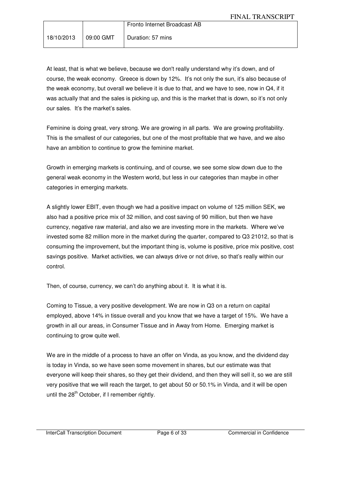|  | Fronto Internet Broadcast AB |
|--|------------------------------|
|  |                              |

At least, that is what we believe, because we don't really understand why it's down, and of course, the weak economy. Greece is down by 12%. It's not only the sun, it's also because of the weak economy, but overall we believe it is due to that, and we have to see, now in Q4, if it was actually that and the sales is picking up, and this is the market that is down, so it's not only our sales. It's the market's sales.

Feminine is doing great, very strong. We are growing in all parts. We are growing profitability. This is the smallest of our categories, but one of the most profitable that we have, and we also have an ambition to continue to grow the feminine market.

Growth in emerging markets is continuing, and of course, we see some slow down due to the general weak economy in the Western world, but less in our categories than maybe in other categories in emerging markets.

A slightly lower EBIT, even though we had a positive impact on volume of 125 million SEK, we also had a positive price mix of 32 million, and cost saving of 90 million, but then we have currency, negative raw material, and also we are investing more in the markets. Where we've invested some 82 million more in the market during the quarter, compared to Q3 21012, so that is consuming the improvement, but the important thing is, volume is positive, price mix positive, cost savings positive. Market activities, we can always drive or not drive, so that's really within our control.

Then, of course, currency, we can't do anything about it. It is what it is.

Coming to Tissue, a very positive development. We are now in Q3 on a return on capital employed, above 14% in tissue overall and you know that we have a target of 15%. We have a growth in all our areas, in Consumer Tissue and in Away from Home. Emerging market is continuing to grow quite well.

We are in the middle of a process to have an offer on Vinda, as you know, and the dividend day is today in Vinda, so we have seen some movement in shares, but our estimate was that everyone will keep their shares, so they get their dividend, and then they will sell it, so we are still very positive that we will reach the target, to get about 50 or 50.1% in Vinda, and it will be open until the  $28<sup>th</sup>$  October, if I remember rightly.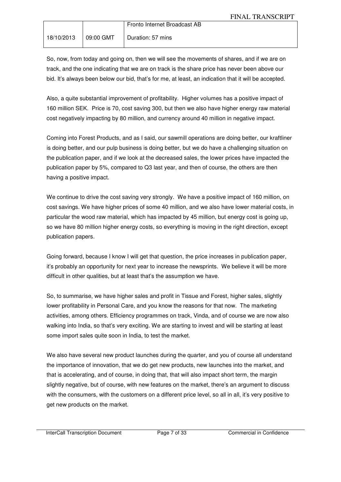|            |           | Fronto Internet Broadcast AB |
|------------|-----------|------------------------------|
| 18/10/2013 | 09:00 GMT | Duration: 57 mins            |

So, now, from today and going on, then we will see the movements of shares, and if we are on track, and the one indicating that we are on track is the share price has never been above our bid. It's always been below our bid, that's for me, at least, an indication that it will be accepted.

Also, a quite substantial improvement of profitability. Higher volumes has a positive impact of 160 million SEK. Price is 70, cost saving 300, but then we also have higher energy raw material cost negatively impacting by 80 million, and currency around 40 million in negative impact.

Coming into Forest Products, and as I said, our sawmill operations are doing better, our kraftliner is doing better, and our pulp business is doing better, but we do have a challenging situation on the publication paper, and if we look at the decreased sales, the lower prices have impacted the publication paper by 5%, compared to Q3 last year, and then of course, the others are then having a positive impact.

We continue to drive the cost saving very strongly. We have a positive impact of 160 million, on cost savings. We have higher prices of some 40 million, and we also have lower material costs, in particular the wood raw material, which has impacted by 45 million, but energy cost is going up, so we have 80 million higher energy costs, so everything is moving in the right direction, except publication papers.

Going forward, because I know I will get that question, the price increases in publication paper, it's probably an opportunity for next year to increase the newsprints. We believe it will be more difficult in other qualities, but at least that's the assumption we have.

So, to summarise, we have higher sales and profit in Tissue and Forest, higher sales, slightly lower profitability in Personal Care, and you know the reasons for that now. The marketing activities, among others. Efficiency programmes on track, Vinda, and of course we are now also walking into India, so that's very exciting. We are starting to invest and will be starting at least some import sales quite soon in India, to test the market.

We also have several new product launches during the quarter, and you of course all understand the importance of innovation, that we do get new products, new launches into the market, and that is accelerating, and of course, in doing that, that will also impact short term, the margin slightly negative, but of course, with new features on the market, there's an argument to discuss with the consumers, with the customers on a different price level, so all in all, it's very positive to get new products on the market.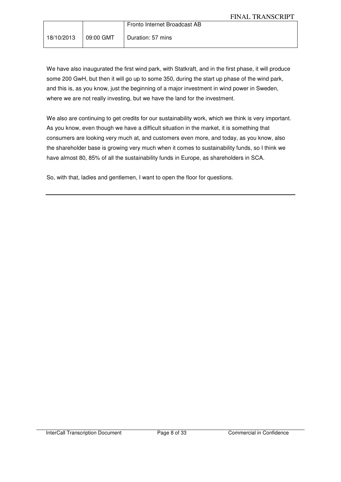|  | Fronto Internet Broadcast AB |
|--|------------------------------|
|  | Duration: 57 mins            |

We have also inaugurated the first wind park, with Statkraft, and in the first phase, it will produce some 200 GwH, but then it will go up to some 350, during the start up phase of the wind park, and this is, as you know, just the beginning of a major investment in wind power in Sweden, where we are not really investing, but we have the land for the investment.

We also are continuing to get credits for our sustainability work, which we think is very important. As you know, even though we have a difficult situation in the market, it is something that consumers are looking very much at, and customers even more, and today, as you know, also the shareholder base is growing very much when it comes to sustainability funds, so I think we have almost 80, 85% of all the sustainability funds in Europe, as shareholders in SCA.

So, with that, ladies and gentlemen, I want to open the floor for questions.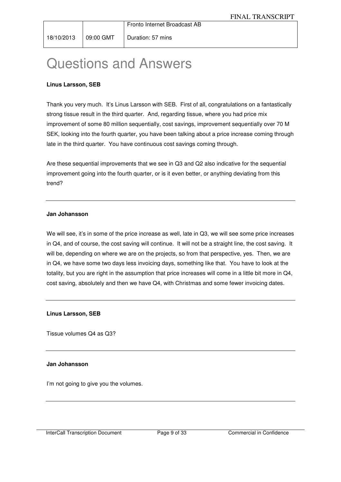## Questions and Answers

## **Linus Larsson, SEB**

Thank you very much. It's Linus Larsson with SEB. First of all, congratulations on a fantastically strong tissue result in the third quarter. And, regarding tissue, where you had price mix improvement of some 80 million sequentially, cost savings, improvement sequentially over 70 M SEK, looking into the fourth quarter, you have been talking about a price increase coming through late in the third quarter. You have continuous cost savings coming through.

Are these sequential improvements that we see in Q3 and Q2 also indicative for the sequential improvement going into the fourth quarter, or is it even better, or anything deviating from this trend?

#### **Jan Johansson**

We will see, it's in some of the price increase as well, late in Q3, we will see some price increases in Q4, and of course, the cost saving will continue. It will not be a straight line, the cost saving. It will be, depending on where we are on the projects, so from that perspective, yes. Then, we are in Q4, we have some two days less invoicing days, something like that. You have to look at the totality, but you are right in the assumption that price increases will come in a little bit more in Q4, cost saving, absolutely and then we have Q4, with Christmas and some fewer invoicing dates.

**Linus Larsson, SEB** 

Tissue volumes Q4 as Q3?

#### **Jan Johansson**

I'm not going to give you the volumes.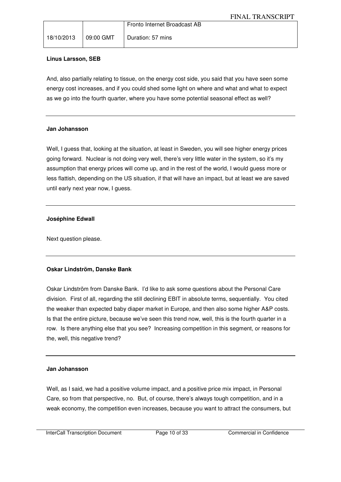|  | Fronto Internet Broadcast AB               |
|--|--------------------------------------------|
|  | 18/10/2013   09:00 GMT   Duration: 57 mins |

## **Linus Larsson, SEB**

And, also partially relating to tissue, on the energy cost side, you said that you have seen some energy cost increases, and if you could shed some light on where and what and what to expect as we go into the fourth quarter, where you have some potential seasonal effect as well?

#### **Jan Johansson**

Well, I guess that, looking at the situation, at least in Sweden, you will see higher energy prices going forward. Nuclear is not doing very well, there's very little water in the system, so it's my assumption that energy prices will come up, and in the rest of the world, I would guess more or less flattish, depending on the US situation, if that will have an impact, but at least we are saved until early next year now, I guess.

## **Joséphine Edwall**

Next question please.

## **Oskar Lindström, Danske Bank**

Oskar Lindström from Danske Bank. I'd like to ask some questions about the Personal Care division. First of all, regarding the still declining EBIT in absolute terms, sequentially. You cited the weaker than expected baby diaper market in Europe, and then also some higher A&P costs. Is that the entire picture, because we've seen this trend now, well, this is the fourth quarter in a row. Is there anything else that you see? Increasing competition in this segment, or reasons for the, well, this negative trend?

#### **Jan Johansson**

Well, as I said, we had a positive volume impact, and a positive price mix impact, in Personal Care, so from that perspective, no. But, of course, there's always tough competition, and in a weak economy, the competition even increases, because you want to attract the consumers, but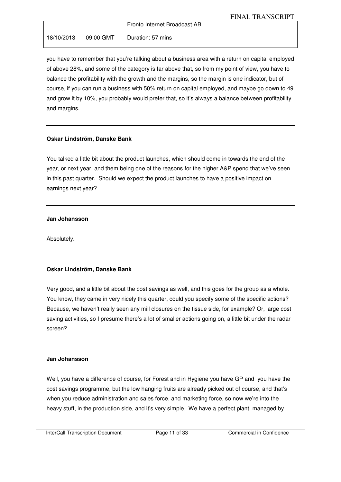|            | Fronto Internet Broadcast AB  |
|------------|-------------------------------|
| 18/10/2013 | 09:00 GMT   Duration: 57 mins |

you have to remember that you're talking about a business area with a return on capital employed of above 28%, and some of the category is far above that, so from my point of view, you have to balance the profitability with the growth and the margins, so the margin is one indicator, but of course, if you can run a business with 50% return on capital employed, and maybe go down to 49 and grow it by 10%, you probably would prefer that, so it's always a balance between profitability and margins.

## **Oskar Lindström, Danske Bank**

You talked a little bit about the product launches, which should come in towards the end of the year, or next year, and them being one of the reasons for the higher A&P spend that we've seen in this past quarter. Should we expect the product launches to have a positive impact on earnings next year?

#### **Jan Johansson**

Absolutely.

## **Oskar Lindström, Danske Bank**

Very good, and a little bit about the cost savings as well, and this goes for the group as a whole. You know, they came in very nicely this quarter, could you specify some of the specific actions? Because, we haven't really seen any mill closures on the tissue side, for example? Or, large cost saving activities, so I presume there's a lot of smaller actions going on, a little bit under the radar screen?

#### **Jan Johansson**

Well, you have a difference of course, for Forest and in Hygiene you have GP and you have the cost savings programme, but the low hanging fruits are already picked out of course, and that's when you reduce administration and sales force, and marketing force, so now we're into the heavy stuff, in the production side, and it's very simple. We have a perfect plant, managed by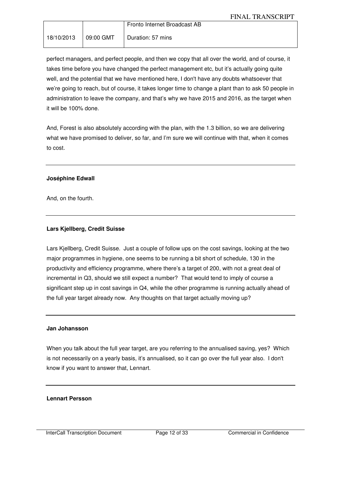|            |           | Fronto Internet Broadcast AB |
|------------|-----------|------------------------------|
| 18/10/2013 | 09:00 GMT | Duration: 57 mins            |

perfect managers, and perfect people, and then we copy that all over the world, and of course, it takes time before you have changed the perfect management etc, but it's actually going quite well, and the potential that we have mentioned here, I don't have any doubts whatsoever that we're going to reach, but of course, it takes longer time to change a plant than to ask 50 people in administration to leave the company, and that's why we have 2015 and 2016, as the target when it will be 100% done.

And, Forest is also absolutely according with the plan, with the 1.3 billion, so we are delivering what we have promised to deliver, so far, and I'm sure we will continue with that, when it comes to cost.

#### **Joséphine Edwall**

And, on the fourth.

#### **Lars Kjellberg, Credit Suisse**

Lars Kjellberg, Credit Suisse. Just a couple of follow ups on the cost savings, looking at the two major programmes in hygiene, one seems to be running a bit short of schedule, 130 in the productivity and efficiency programme, where there's a target of 200, with not a great deal of incremental in Q3, should we still expect a number? That would tend to imply of course a significant step up in cost savings in Q4, while the other programme is running actually ahead of the full year target already now. Any thoughts on that target actually moving up?

#### **Jan Johansson**

When you talk about the full year target, are you referring to the annualised saving, yes? Which is not necessarily on a yearly basis, it's annualised, so it can go over the full year also. I don't know if you want to answer that, Lennart.

#### **Lennart Persson**

InterCall Transcription Document Page 12 of 33 Commercial in Confidence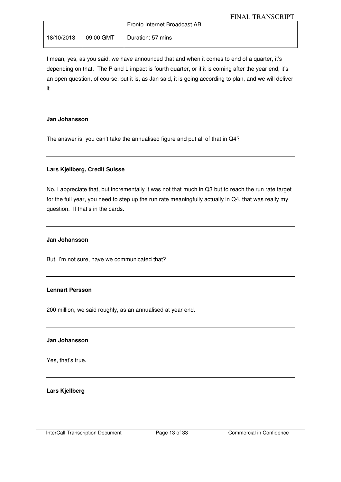|  | Fronto Internet Broadcast AB |
|--|------------------------------|
|  | Duration: 57 mins            |

I mean, yes, as you said, we have announced that and when it comes to end of a quarter, it's depending on that. The P and L impact is fourth quarter, or if it is coming after the year end, it's an open question, of course, but it is, as Jan said, it is going according to plan, and we will deliver it.

#### **Jan Johansson**

The answer is, you can't take the annualised figure and put all of that in Q4?

#### **Lars Kjellberg, Credit Suisse**

No, I appreciate that, but incrementally it was not that much in Q3 but to reach the run rate target for the full year, you need to step up the run rate meaningfully actually in Q4, that was really my question. If that's in the cards.

#### **Jan Johansson**

But, I'm not sure, have we communicated that?

#### **Lennart Persson**

200 million, we said roughly, as an annualised at year end.

#### **Jan Johansson**

Yes, that's true.

**Lars Kjellberg**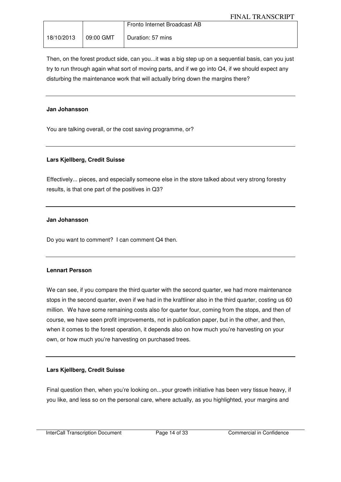|                       | Fronto Internet Broadcast AB |
|-----------------------|------------------------------|
| 18/10/2013  09:00 GMT | Duration: 57 mins            |

Then, on the forest product side, can you...it was a big step up on a sequential basis, can you just try to run through again what sort of moving parts, and if we go into Q4, if we should expect any disturbing the maintenance work that will actually bring down the margins there?

#### **Jan Johansson**

You are talking overall, or the cost saving programme, or?

#### **Lars Kjellberg, Credit Suisse**

Effectively... pieces, and especially someone else in the store talked about very strong forestry results, is that one part of the positives in Q3?

#### **Jan Johansson**

Do you want to comment? I can comment Q4 then.

#### **Lennart Persson**

We can see, if you compare the third quarter with the second quarter, we had more maintenance stops in the second quarter, even if we had in the kraftliner also in the third quarter, costing us 60 million. We have some remaining costs also for quarter four, coming from the stops, and then of course, we have seen profit improvements, not in publication paper, but in the other, and then, when it comes to the forest operation, it depends also on how much you're harvesting on your own, or how much you're harvesting on purchased trees.

#### **Lars Kjellberg, Credit Suisse**

Final question then, when you're looking on...your growth initiative has been very tissue heavy, if you like, and less so on the personal care, where actually, as you highlighted, your margins and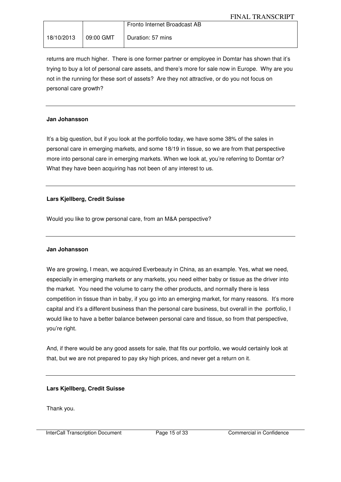|  | Fronto Internet Broadcast AB |
|--|------------------------------|
|  | Duration: 57 mins            |

returns are much higher. There is one former partner or employee in Domtar has shown that it's trying to buy a lot of personal care assets, and there's more for sale now in Europe. Why are you not in the running for these sort of assets? Are they not attractive, or do you not focus on personal care growth?

#### **Jan Johansson**

It's a big question, but if you look at the portfolio today, we have some 38% of the sales in personal care in emerging markets, and some 18/19 in tissue, so we are from that perspective more into personal care in emerging markets. When we look at, you're referring to Domtar or? What they have been acquiring has not been of any interest to us.

#### **Lars Kjellberg, Credit Suisse**

Would you like to grow personal care, from an M&A perspective?

#### **Jan Johansson**

We are growing, I mean, we acquired Everbeauty in China, as an example. Yes, what we need, especially in emerging markets or any markets, you need either baby or tissue as the driver into the market. You need the volume to carry the other products, and normally there is less competition in tissue than in baby, if you go into an emerging market, for many reasons. It's more capital and it's a different business than the personal care business, but overall in the portfolio, I would like to have a better balance between personal care and tissue, so from that perspective, you're right.

And, if there would be any good assets for sale, that fits our portfolio, we would certainly look at that, but we are not prepared to pay sky high prices, and never get a return on it.

#### **Lars Kjellberg, Credit Suisse**

Thank you.

InterCall Transcription Document Page 15 of 33 Commercial in Confidence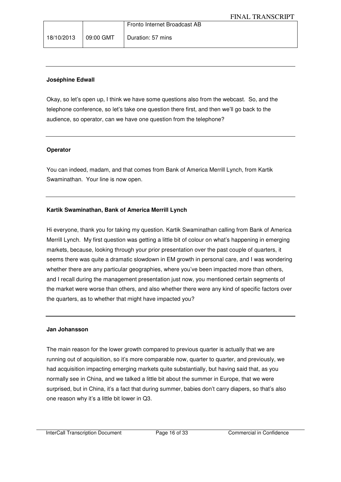|  | Fronto Internet Broadcast AB                 |
|--|----------------------------------------------|
|  | $18/10/2013$   09:00 GMT   Duration: 57 mins |

#### **Joséphine Edwall**

Okay, so let's open up, I think we have some questions also from the webcast. So, and the telephone conference, so let's take one question there first, and then we'll go back to the audience, so operator, can we have one question from the telephone?

#### **Operator**

You can indeed, madam, and that comes from Bank of America Merrill Lynch, from Kartik Swaminathan. Your line is now open.

## **Kartik Swaminathan, Bank of America Merrill Lynch**

Hi everyone, thank you for taking my question. Kartik Swaminathan calling from Bank of America Merrill Lynch. My first question was getting a little bit of colour on what's happening in emerging markets, because, looking through your prior presentation over the past couple of quarters, it seems there was quite a dramatic slowdown in EM growth in personal care, and I was wondering whether there are any particular geographies, where you've been impacted more than others, and I recall during the management presentation just now, you mentioned certain segments of the market were worse than others, and also whether there were any kind of specific factors over the quarters, as to whether that might have impacted you?

#### **Jan Johansson**

The main reason for the lower growth compared to previous quarter is actually that we are running out of acquisition, so it's more comparable now, quarter to quarter, and previously, we had acquisition impacting emerging markets quite substantially, but having said that, as you normally see in China, and we talked a little bit about the summer in Europe, that we were surprised, but in China, it's a fact that during summer, babies don't carry diapers, so that's also one reason why it's a little bit lower in Q3.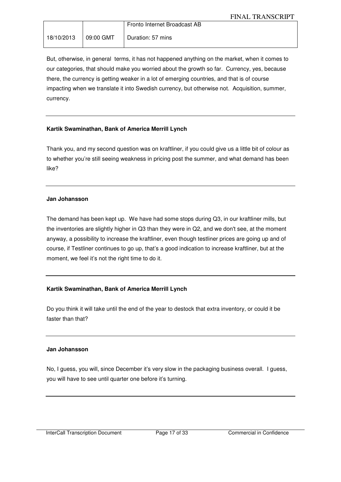|                      | Fronto Internet Broadcast AB |
|----------------------|------------------------------|
| 18/10/2013 09:00 GMT | Duration: 57 mins            |

But, otherwise, in general terms, it has not happened anything on the market, when it comes to our categories, that should make you worried about the growth so far. Currency, yes, because there, the currency is getting weaker in a lot of emerging countries, and that is of course impacting when we translate it into Swedish currency, but otherwise not. Acquisition, summer, currency.

## **Kartik Swaminathan, Bank of America Merrill Lynch**

Thank you, and my second question was on kraftliner, if you could give us a little bit of colour as to whether you're still seeing weakness in pricing post the summer, and what demand has been like?

#### **Jan Johansson**

The demand has been kept up. We have had some stops during Q3, in our kraftliner mills, but the inventories are slightly higher in Q3 than they were in Q2, and we don't see, at the moment anyway, a possibility to increase the kraftliner, even though testliner prices are going up and of course, if Testliner continues to go up, that's a good indication to increase kraftliner, but at the moment, we feel it's not the right time to do it.

## **Kartik Swaminathan, Bank of America Merrill Lynch**

Do you think it will take until the end of the year to destock that extra inventory, or could it be faster than that?

## **Jan Johansson**

No, I guess, you will, since December it's very slow in the packaging business overall. I guess, you will have to see until quarter one before it's turning.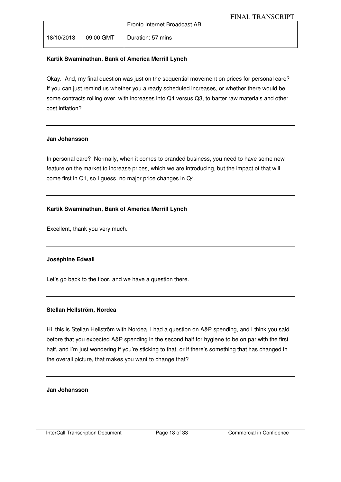|            |                  | Fronto Internet Broadcast AB |
|------------|------------------|------------------------------|
| 18/10/2013 | $\mid$ 09:00 GMT | Duration: 57 mins            |

## **Kartik Swaminathan, Bank of America Merrill Lynch**

Okay. And, my final question was just on the sequential movement on prices for personal care? If you can just remind us whether you already scheduled increases, or whether there would be some contracts rolling over, with increases into Q4 versus Q3, to barter raw materials and other cost inflation?

#### **Jan Johansson**

In personal care? Normally, when it comes to branded business, you need to have some new feature on the market to increase prices, which we are introducing, but the impact of that will come first in Q1, so I guess, no major price changes in Q4.

## **Kartik Swaminathan, Bank of America Merrill Lynch**

Excellent, thank you very much.

## **Joséphine Edwall**

Let's go back to the floor, and we have a question there.

## **Stellan Hellström, Nordea**

Hi, this is Stellan Hellström with Nordea. I had a question on A&P spending, and I think you said before that you expected A&P spending in the second half for hygiene to be on par with the first half, and I'm just wondering if you're sticking to that, or if there's something that has changed in the overall picture, that makes you want to change that?

**Jan Johansson**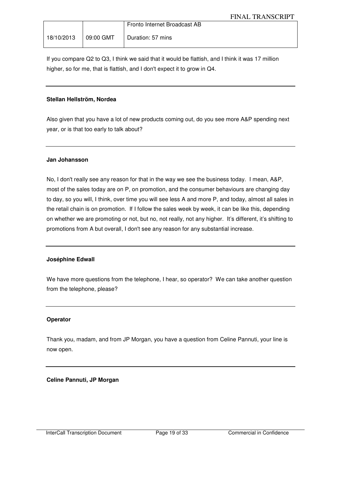|  | Fronto Internet Broadcast AB               |
|--|--------------------------------------------|
|  | 18/10/2013   09:00 GMT   Duration: 57 mins |

If you compare Q2 to Q3, I think we said that it would be flattish, and I think it was 17 million higher, so for me, that is flattish, and I don't expect it to grow in Q4.

#### **Stellan Hellström, Nordea**

Also given that you have a lot of new products coming out, do you see more A&P spending next year, or is that too early to talk about?

#### **Jan Johansson**

No, I don't really see any reason for that in the way we see the business today. I mean, A&P, most of the sales today are on P, on promotion, and the consumer behaviours are changing day to day, so you will, I think, over time you will see less A and more P, and today, almost all sales in the retail chain is on promotion. If I follow the sales week by week, it can be like this, depending on whether we are promoting or not, but no, not really, not any higher. It's different, it's shifting to promotions from A but overall, I don't see any reason for any substantial increase.

#### **Joséphine Edwall**

We have more questions from the telephone, I hear, so operator? We can take another question from the telephone, please?

#### **Operator**

Thank you, madam, and from JP Morgan, you have a question from Celine Pannuti, your line is now open.

## **Celine Pannuti, JP Morgan**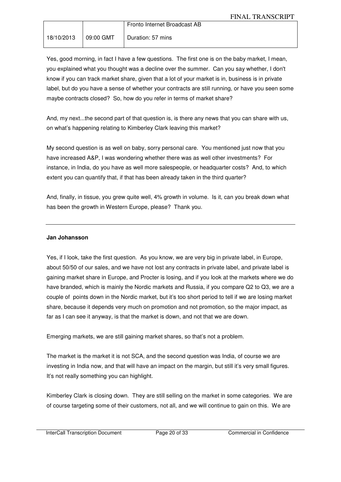|                        | Fronto Internet Broadcast AB |
|------------------------|------------------------------|
| 18/10/2013   09:00 GMT | Duration: 57 mins            |

Yes, good morning, in fact I have a few questions. The first one is on the baby market, I mean, you explained what you thought was a decline over the summer. Can you say whether, I don't know if you can track market share, given that a lot of your market is in, business is in private label, but do you have a sense of whether your contracts are still running, or have you seen some maybe contracts closed? So, how do you refer in terms of market share?

And, my next...the second part of that question is, is there any news that you can share with us, on what's happening relating to Kimberley Clark leaving this market?

My second question is as well on baby, sorry personal care. You mentioned just now that you have increased A&P, I was wondering whether there was as well other investments? For instance, in India, do you have as well more salespeople, or headquarter costs? And, to which extent you can quantify that, if that has been already taken in the third quarter?

And, finally, in tissue, you grew quite well, 4% growth in volume. Is it, can you break down what has been the growth in Western Europe, please? Thank you.

### **Jan Johansson**

Yes, if I look, take the first question. As you know, we are very big in private label, in Europe, about 50/50 of our sales, and we have not lost any contracts in private label, and private label is gaining market share in Europe, and Procter is losing, and if you look at the markets where we do have branded, which is mainly the Nordic markets and Russia, if you compare Q2 to Q3, we are a couple of points down in the Nordic market, but it's too short period to tell if we are losing market share, because it depends very much on promotion and not promotion, so the major impact, as far as I can see it anyway, is that the market is down, and not that we are down.

Emerging markets, we are still gaining market shares, so that's not a problem.

The market is the market it is not SCA, and the second question was India, of course we are investing in India now, and that will have an impact on the margin, but still it's very small figures. It's not really something you can highlight.

Kimberley Clark is closing down. They are still selling on the market in some categories. We are of course targeting some of their customers, not all, and we will continue to gain on this. We are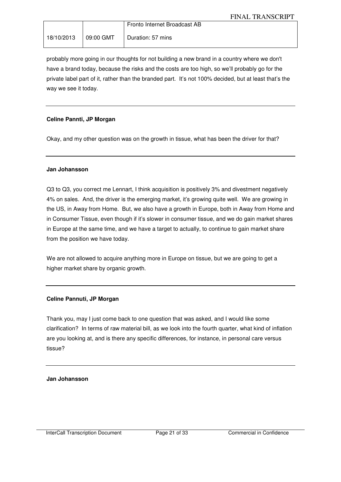|                       | Fronto Internet Broadcast AB |
|-----------------------|------------------------------|
| 18/10/2013  09:00 GMT | Duration: 57 mins            |

probably more going in our thoughts for not building a new brand in a country where we don't have a brand today, because the risks and the costs are too high, so we'll probably go for the private label part of it, rather than the branded part. It's not 100% decided, but at least that's the way we see it today.

## **Celine Pannti, JP Morgan**

Okay, and my other question was on the growth in tissue, what has been the driver for that?

#### **Jan Johansson**

Q3 to Q3, you correct me Lennart, I think acquisition is positively 3% and divestment negatively 4% on sales. And, the driver is the emerging market, it's growing quite well. We are growing in the US, in Away from Home. But, we also have a growth in Europe, both in Away from Home and in Consumer Tissue, even though if it's slower in consumer tissue, and we do gain market shares in Europe at the same time, and we have a target to actually, to continue to gain market share from the position we have today.

We are not allowed to acquire anything more in Europe on tissue, but we are going to get a higher market share by organic growth.

#### **Celine Pannuti, JP Morgan**

Thank you, may I just come back to one question that was asked, and I would like some clarification? In terms of raw material bill, as we look into the fourth quarter, what kind of inflation are you looking at, and is there any specific differences, for instance, in personal care versus tissue?

## **Jan Johansson**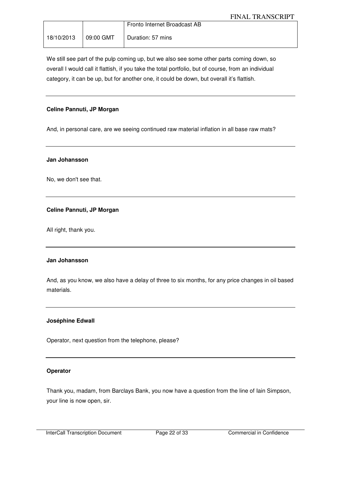|  | Fronto Internet Broadcast AB                 |
|--|----------------------------------------------|
|  | $18/10/2013$   09:00 GMT   Duration: 57 mins |

We still see part of the pulp coming up, but we also see some other parts coming down, so overall I would call it flattish, if you take the total portfolio, but of course, from an individual category, it can be up, but for another one, it could be down, but overall it's flattish.

#### **Celine Pannuti, JP Morgan**

And, in personal care, are we seeing continued raw material inflation in all base raw mats?

#### **Jan Johansson**

No, we don't see that.

#### **Celine Pannuti, JP Morgan**

All right, thank you.

#### **Jan Johansson**

And, as you know, we also have a delay of three to six months, for any price changes in oil based materials.

#### **Joséphine Edwall**

Operator, next question from the telephone, please?

#### **Operator**

Thank you, madam, from Barclays Bank, you now have a question from the line of Iain Simpson, your line is now open, sir.

InterCall Transcription Document Page 22 of 33 Commercial in Confidence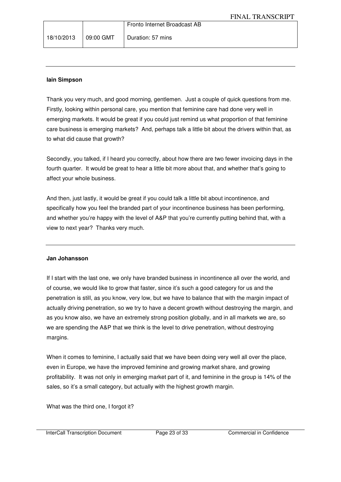### **Iain Simpson**

Thank you very much, and good morning, gentlemen. Just a couple of quick questions from me. Firstly, looking within personal care, you mention that feminine care had done very well in emerging markets. It would be great if you could just remind us what proportion of that feminine care business is emerging markets? And, perhaps talk a little bit about the drivers within that, as to what did cause that growth?

Secondly, you talked, if I heard you correctly, about how there are two fewer invoicing days in the fourth quarter. It would be great to hear a little bit more about that, and whether that's going to affect your whole business.

And then, just lastly, it would be great if you could talk a little bit about incontinence, and specifically how you feel the branded part of your incontinence business has been performing, and whether you're happy with the level of A&P that you're currently putting behind that, with a view to next year? Thanks very much.

#### **Jan Johansson**

If I start with the last one, we only have branded business in incontinence all over the world, and of course, we would like to grow that faster, since it's such a good category for us and the penetration is still, as you know, very low, but we have to balance that with the margin impact of actually driving penetration, so we try to have a decent growth without destroying the margin, and as you know also, we have an extremely strong position globally, and in all markets we are, so we are spending the A&P that we think is the level to drive penetration, without destroying margins.

When it comes to feminine, I actually said that we have been doing very well all over the place, even in Europe, we have the improved feminine and growing market share, and growing profitability. It was not only in emerging market part of it, and feminine in the group is 14% of the sales, so it's a small category, but actually with the highest growth margin.

What was the third one, I forgot it?

InterCall Transcription Document Page 23 of 33 Commercial in Confidence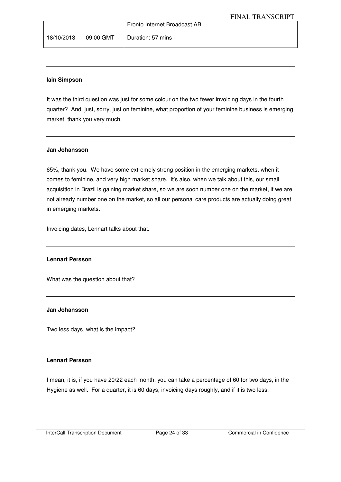|                      | Fronto Internet Broadcast AB |
|----------------------|------------------------------|
| 18/10/2013 09:00 GMT | Duration: 57 mins            |

#### **Iain Simpson**

It was the third question was just for some colour on the two fewer invoicing days in the fourth quarter? And, just, sorry, just on feminine, what proportion of your feminine business is emerging market, thank you very much.

#### **Jan Johansson**

65%, thank you. We have some extremely strong position in the emerging markets, when it comes to feminine, and very high market share. It's also, when we talk about this, our small acquisition in Brazil is gaining market share, so we are soon number one on the market, if we are not already number one on the market, so all our personal care products are actually doing great in emerging markets.

Invoicing dates, Lennart talks about that.

#### **Lennart Persson**

What was the question about that?

#### **Jan Johansson**

Two less days, what is the impact?

#### **Lennart Persson**

I mean, it is, if you have 20/22 each month, you can take a percentage of 60 for two days, in the Hygiene as well. For a quarter, it is 60 days, invoicing days roughly, and if it is two less.

InterCall Transcription Document Page 24 of 33 Commercial in Confidence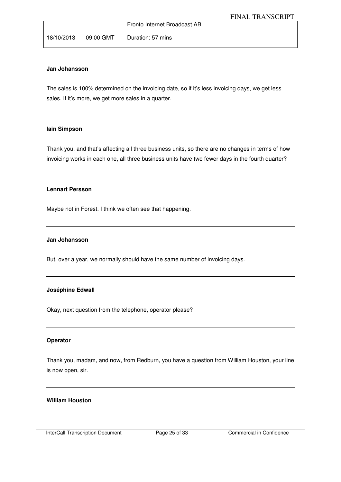|                      | Fronto Internet Broadcast AB |
|----------------------|------------------------------|
| 18/10/2013 09:00 GMT | Duration: 57 mins            |

#### **Jan Johansson**

The sales is 100% determined on the invoicing date, so if it's less invoicing days, we get less sales. If it's more, we get more sales in a quarter.

#### **Iain Simpson**

Thank you, and that's affecting all three business units, so there are no changes in terms of how invoicing works in each one, all three business units have two fewer days in the fourth quarter?

#### **Lennart Persson**

Maybe not in Forest. I think we often see that happening.

#### **Jan Johansson**

But, over a year, we normally should have the same number of invoicing days.

#### **Joséphine Edwall**

Okay, next question from the telephone, operator please?

#### **Operator**

Thank you, madam, and now, from Redburn, you have a question from William Houston, your line is now open, sir.

#### **William Houston**

InterCall Transcription Document Page 25 of 33 Commercial in Confidence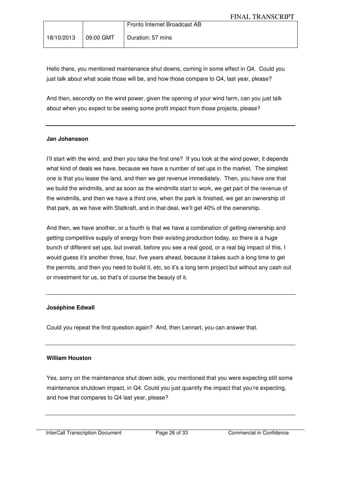|                        | Fronto Internet Broadcast AB |
|------------------------|------------------------------|
| $18/10/2013$ 09:00 GMT | Duration: 57 mins            |

Hello there, you mentioned maintenance shut downs, coming in some effect in Q4. Could you just talk about what scale those will be, and how those compare to Q4, last year, please?

And then, secondly on the wind power, given the opening of your wind farm, can you just talk about when you expect to be seeing some profit impact from those projects, please?

#### **Jan Johansson**

I'll start with the wind, and then you take the first one? If you look at the wind power, it depends what kind of deals we have, because we have a number of set ups in the market. The simplest one is that you lease the land, and then we get revenue immediately. Then, you have one that we build the windmills, and as soon as the windmills start to work, we get part of the revenue of the windmills, and then we have a third one, when the park is finished, we get an ownership of that park, as we have with Statkraft, and in that deal, we'll get 40% of the ownership.

And then, we have another, or a fourth is that we have a combination of getting ownership and getting competitive supply of energy from their existing production today, so there is a huge bunch of different set ups, but overall, before you see a real good, or a real big impact of this, I would guess it's another three, four, five years ahead, because it takes such a long time to get the permits, and then you need to build it, etc, so it's a long term project but without any cash out or investment for us, so that's of course the beauty of it.

#### **Joséphine Edwall**

Could you repeat the first question again? And, then Lennart, you can answer that.

#### **William Houston**

Yes, sorry on the maintenance shut down side, you mentioned that you were expecting still some maintenance shutdown impact, in Q4. Could you just quantify the impact that you're expecting, and how that compares to Q4 last year, please?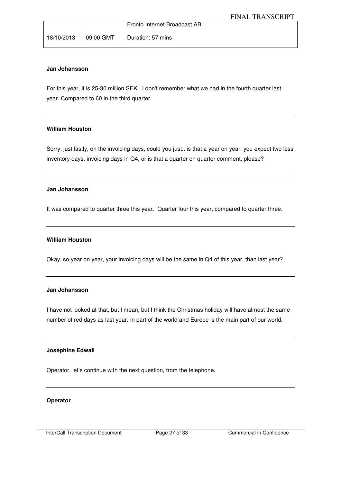|            |                  | Fronto Internet Broadcast AB |
|------------|------------------|------------------------------|
| 18/10/2013 | $\mid$ 09:00 GMT | Duration: 57 mins            |

#### **Jan Johansson**

For this year, it is 25-30 million SEK. I don't remember what we had in the fourth quarter last year. Compared to 60 in the third quarter.

#### **William Houston**

Sorry, just lastly, on the invoicing days, could you just...is that a year on year, you expect two less inventory days, invoicing days in Q4, or is that a quarter on quarter comment, please?

#### **Jan Johansson**

It was compared to quarter three this year. Quarter four this year, compared to quarter three.

#### **William Houston**

Okay, so year on year, your invoicing days will be the same in Q4 of this year, than last year?

#### **Jan Johansson**

I have not looked at that, but I mean, but I think the Christmas holiday will have almost the same number of red days as last year. In part of the world and Europe is the main part of our world.

#### **Joséphine Edwall**

Operator, let's continue with the next question, from the telephone.

#### **Operator**

InterCall Transcription Document Page 27 of 33 Commercial in Confidence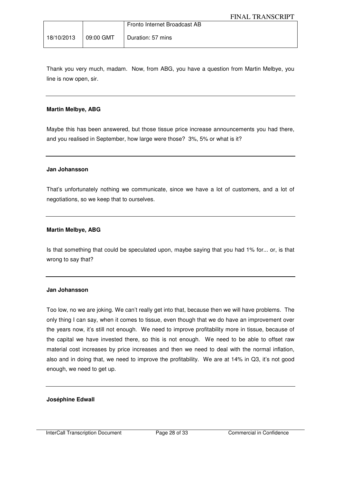|                        | Fronto Internet Broadcast AB |
|------------------------|------------------------------|
| 18/10/2013   09:00 GMT | Duration: 57 mins            |

Thank you very much, madam. Now, from ABG, you have a question from Martin Melbye, you line is now open, sir.

#### **Martin Melbye, ABG**

Maybe this has been answered, but those tissue price increase announcements you had there, and you realised in September, how large were those? 3%, 5% or what is it?

#### **Jan Johansson**

That's unfortunately nothing we communicate, since we have a lot of customers, and a lot of negotiations, so we keep that to ourselves.

#### **Martin Melbye, ABG**

Is that something that could be speculated upon, maybe saying that you had 1% for... or, is that wrong to say that?

#### **Jan Johansson**

Too low, no we are joking. We can't really get into that, because then we will have problems. The only thing I can say, when it comes to tissue, even though that we do have an improvement over the years now, it's still not enough. We need to improve profitability more in tissue, because of the capital we have invested there, so this is not enough. We need to be able to offset raw material cost increases by price increases and then we need to deal with the normal inflation, also and in doing that, we need to improve the profitability. We are at 14% in Q3, it's not good enough, we need to get up.

#### **Joséphine Edwall**

InterCall Transcription Document Page 28 of 33 Commercial in Confidence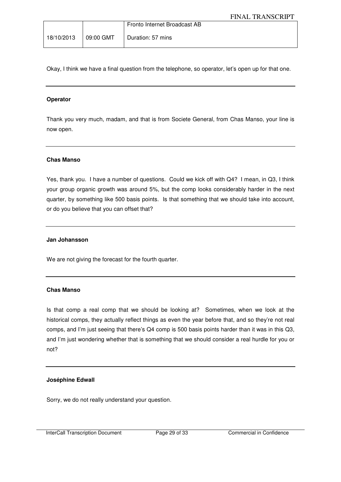|                      | Fronto Internet Broadcast AB |
|----------------------|------------------------------|
| 18/10/2013 09:00 GMT | Duration: 57 mins            |

Okay, I think we have a final question from the telephone, so operator, let's open up for that one.

### **Operator**

Thank you very much, madam, and that is from Societe General, from Chas Manso, your line is now open.

#### **Chas Manso**

Yes, thank you. I have a number of questions. Could we kick off with Q4? I mean, in Q3, I think your group organic growth was around 5%, but the comp looks considerably harder in the next quarter, by something like 500 basis points. Is that something that we should take into account, or do you believe that you can offset that?

#### **Jan Johansson**

We are not giving the forecast for the fourth quarter.

#### **Chas Manso**

Is that comp a real comp that we should be looking at? Sometimes, when we look at the historical comps, they actually reflect things as even the year before that, and so they're not real comps, and I'm just seeing that there's Q4 comp is 500 basis points harder than it was in this Q3, and I'm just wondering whether that is something that we should consider a real hurdle for you or not?

#### **Joséphine Edwall**

Sorry, we do not really understand your question.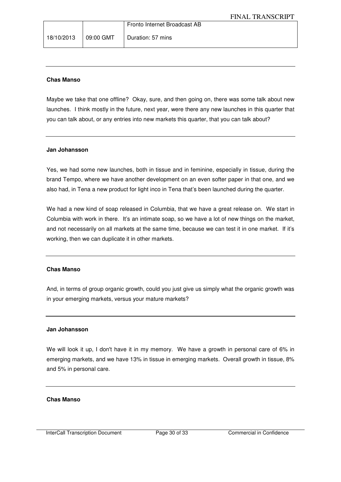#### **Chas Manso**

Maybe we take that one offline? Okay, sure, and then going on, there was some talk about new launches. I think mostly in the future, next year, were there any new launches in this quarter that you can talk about, or any entries into new markets this quarter, that you can talk about?

#### **Jan Johansson**

Yes, we had some new launches, both in tissue and in feminine, especially in tissue, during the brand Tempo, where we have another development on an even softer paper in that one, and we also had, in Tena a new product for light inco in Tena that's been launched during the quarter.

We had a new kind of soap released in Columbia, that we have a great release on. We start in Columbia with work in there. It's an intimate soap, so we have a lot of new things on the market, and not necessarily on all markets at the same time, because we can test it in one market. If it's working, then we can duplicate it in other markets.

#### **Chas Manso**

And, in terms of group organic growth, could you just give us simply what the organic growth was in your emerging markets, versus your mature markets?

#### **Jan Johansson**

We will look it up, I don't have it in my memory. We have a growth in personal care of 6% in emerging markets, and we have 13% in tissue in emerging markets. Overall growth in tissue, 8% and 5% in personal care.

#### **Chas Manso**

InterCall Transcription Document Page 30 of 33 Commercial in Confidence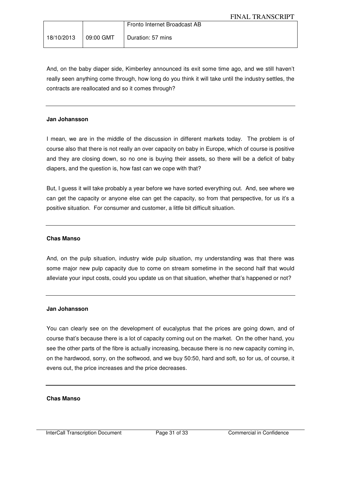|  | Fronto Internet Broadcast AB |
|--|------------------------------|
|  | Duration: 57 mins            |

And, on the baby diaper side, Kimberley announced its exit some time ago, and we still haven't really seen anything come through, how long do you think it will take until the industry settles, the contracts are reallocated and so it comes through?

#### **Jan Johansson**

I mean, we are in the middle of the discussion in different markets today. The problem is of course also that there is not really an over capacity on baby in Europe, which of course is positive and they are closing down, so no one is buying their assets, so there will be a deficit of baby diapers, and the question is, how fast can we cope with that?

But, I guess it will take probably a year before we have sorted everything out. And, see where we can get the capacity or anyone else can get the capacity, so from that perspective, for us it's a positive situation. For consumer and customer, a little bit difficult situation.

#### **Chas Manso**

And, on the pulp situation, industry wide pulp situation, my understanding was that there was some major new pulp capacity due to come on stream sometime in the second half that would alleviate your input costs, could you update us on that situation, whether that's happened or not?

#### **Jan Johansson**

You can clearly see on the development of eucalyptus that the prices are going down, and of course that's because there is a lot of capacity coming out on the market. On the other hand, you see the other parts of the fibre is actually increasing, because there is no new capacity coming in, on the hardwood, sorry, on the softwood, and we buy 50:50, hard and soft, so for us, of course, it evens out, the price increases and the price decreases.

#### **Chas Manso**

InterCall Transcription Document Page 31 of 33 Commercial in Confidence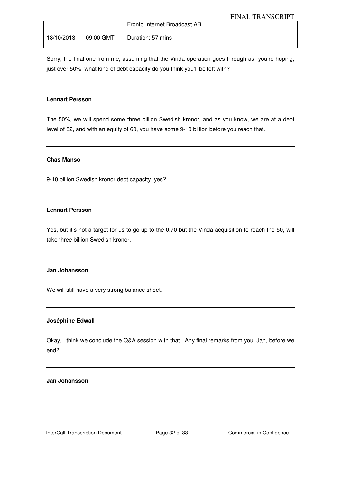|                      | Fronto Internet Broadcast AB |
|----------------------|------------------------------|
| 18/10/2013 09:00 GMT | Duration: 57 mins            |

Sorry, the final one from me, assuming that the Vinda operation goes through as you're hoping, just over 50%, what kind of debt capacity do you think you'll be left with?

#### **Lennart Persson**

The 50%, we will spend some three billion Swedish kronor, and as you know, we are at a debt level of 52, and with an equity of 60, you have some 9-10 billion before you reach that.

## **Chas Manso**

9-10 billion Swedish kronor debt capacity, yes?

## **Lennart Persson**

Yes, but it's not a target for us to go up to the 0.70 but the Vinda acquisition to reach the 50, will take three billion Swedish kronor.

#### **Jan Johansson**

We will still have a very strong balance sheet.

#### **Joséphine Edwall**

Okay, I think we conclude the Q&A session with that. Any final remarks from you, Jan, before we end?

**Jan Johansson**